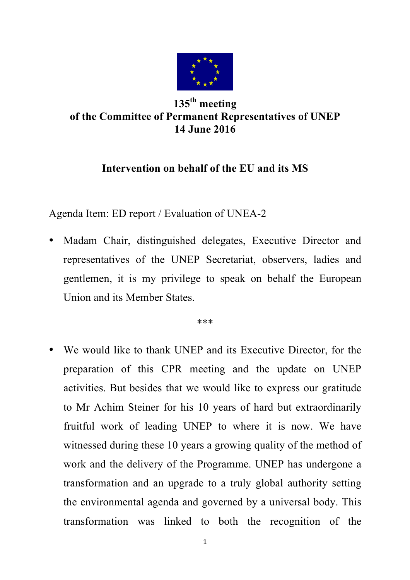

## **135th meeting of the Committee of Permanent Representatives of UNEP 14 June 2016**

## **Intervention on behalf of the EU and its MS**

Agenda Item: ED report / Evaluation of UNEA-2

• Madam Chair, distinguished delegates, Executive Director and representatives of the UNEP Secretariat, observers, ladies and gentlemen, it is my privilege to speak on behalf the European Union and its Member States.

\*\*\*

• We would like to thank UNEP and its Executive Director, for the preparation of this CPR meeting and the update on UNEP activities. But besides that we would like to express our gratitude to Mr Achim Steiner for his 10 years of hard but extraordinarily fruitful work of leading UNEP to where it is now. We have witnessed during these 10 years a growing quality of the method of work and the delivery of the Programme. UNEP has undergone a transformation and an upgrade to a truly global authority setting the environmental agenda and governed by a universal body. This transformation was linked to both the recognition of the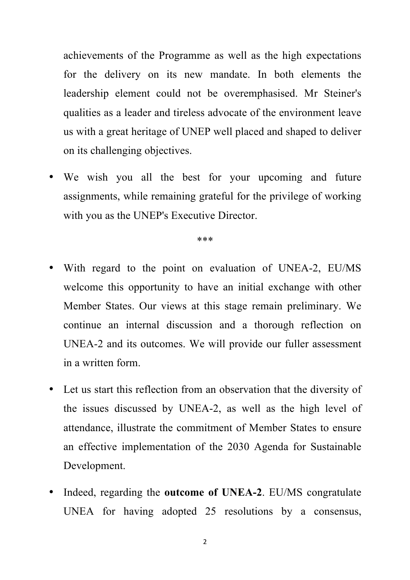achievements of the Programme as well as the high expectations for the delivery on its new mandate. In both elements the leadership element could not be overemphasised. Mr Steiner's qualities as a leader and tireless advocate of the environment leave us with a great heritage of UNEP well placed and shaped to deliver on its challenging objectives.

• We wish you all the best for your upcoming and future assignments, while remaining grateful for the privilege of working with you as the UNEP's Executive Director.

\*\*\*

- With regard to the point on evaluation of UNEA-2, EU/MS welcome this opportunity to have an initial exchange with other Member States. Our views at this stage remain preliminary. We continue an internal discussion and a thorough reflection on UNEA-2 and its outcomes. We will provide our fuller assessment in a written form.
- Let us start this reflection from an observation that the diversity of the issues discussed by UNEA-2, as well as the high level of attendance, illustrate the commitment of Member States to ensure an effective implementation of the 2030 Agenda for Sustainable Development.
- Indeed, regarding the **outcome of UNEA-2**. EU/MS congratulate UNEA for having adopted 25 resolutions by a consensus,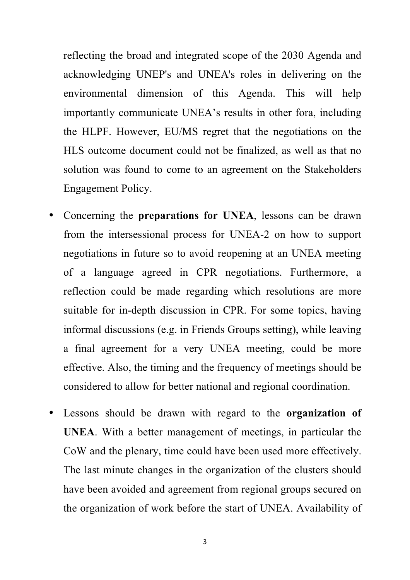reflecting the broad and integrated scope of the 2030 Agenda and acknowledging UNEP's and UNEA's roles in delivering on the environmental dimension of this Agenda. This will help importantly communicate UNEA's results in other fora, including the HLPF. However, EU/MS regret that the negotiations on the HLS outcome document could not be finalized, as well as that no solution was found to come to an agreement on the Stakeholders Engagement Policy.

- Concerning the **preparations for UNEA**, lessons can be drawn from the intersessional process for UNEA-2 on how to support negotiations in future so to avoid reopening at an UNEA meeting of a language agreed in CPR negotiations. Furthermore, a reflection could be made regarding which resolutions are more suitable for in-depth discussion in CPR. For some topics, having informal discussions (e.g. in Friends Groups setting), while leaving a final agreement for a very UNEA meeting, could be more effective. Also, the timing and the frequency of meetings should be considered to allow for better national and regional coordination.
- Lessons should be drawn with regard to the **organization of UNEA**. With a better management of meetings, in particular the CoW and the plenary, time could have been used more effectively. The last minute changes in the organization of the clusters should have been avoided and agreement from regional groups secured on the organization of work before the start of UNEA. Availability of